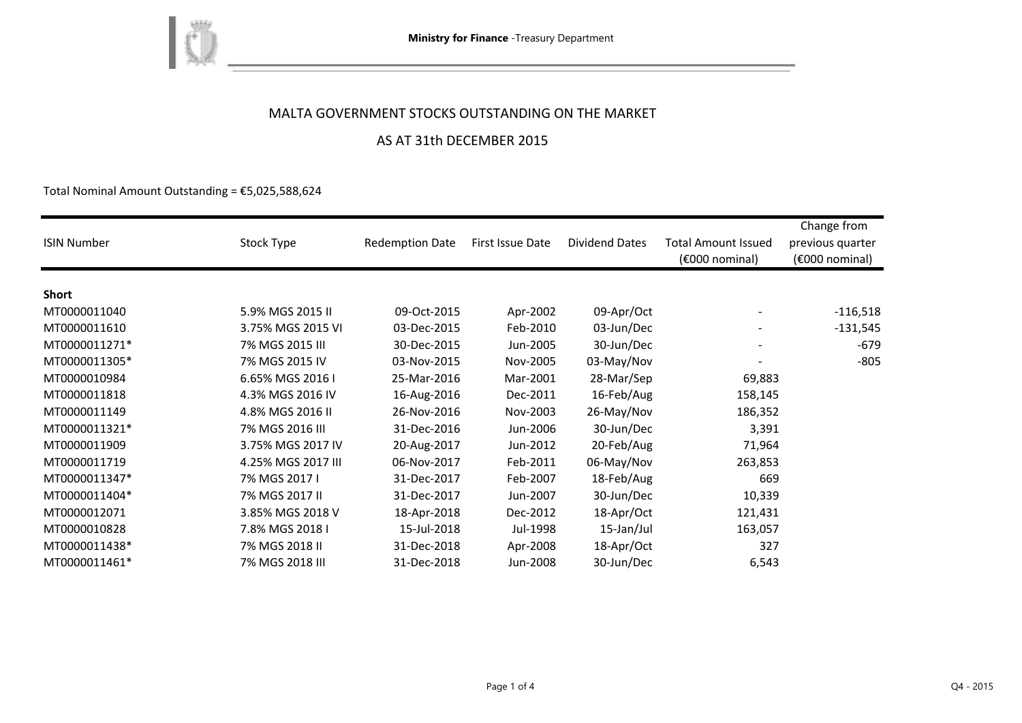

### MALTA GOVERNMENT STOCKS OUTSTANDING ON THE MARKET

the control of the control of the

### AS AT 31th DECEMBER 2015

Total Nominal Amount Outstanding =  $$5,025,588,624$$ 

| <b>ISIN Number</b> | Stock Type         | <b>Redemption Date</b> | First Issue Date | <b>Dividend Dates</b> | <b>Total Amount Issued</b><br>(€000 nominal) | Change from<br>previous quarter<br>$(6000)$ nominal) |
|--------------------|--------------------|------------------------|------------------|-----------------------|----------------------------------------------|------------------------------------------------------|
|                    |                    |                        |                  |                       |                                              |                                                      |
| <b>Short</b>       |                    |                        |                  |                       |                                              |                                                      |
| MT0000011040       | 5.9% MGS 2015 II   | 09-Oct-2015            | Apr-2002         | 09-Apr/Oct            |                                              | $-116,518$                                           |
| MT0000011610       | 3.75% MGS 2015 VI  | 03-Dec-2015            | Feb-2010         | 03-Jun/Dec            |                                              | $-131,545$                                           |
| MT0000011271*      | 7% MGS 2015 III    | 30-Dec-2015            | Jun-2005         | 30-Jun/Dec            |                                              | $-679$                                               |
| MT0000011305*      | 7% MGS 2015 IV     | 03-Nov-2015            | Nov-2005         | 03-May/Nov            |                                              | $-805$                                               |
| MT0000010984       | 6.65% MGS 2016 I   | 25-Mar-2016            | Mar-2001         | 28-Mar/Sep            | 69,883                                       |                                                      |
| MT0000011818       | 4.3% MGS 2016 IV   | 16-Aug-2016            | Dec-2011         | 16-Feb/Aug            | 158,145                                      |                                                      |
| MT0000011149       | 4.8% MGS 2016 II   | 26-Nov-2016            | Nov-2003         | 26-May/Nov            | 186,352                                      |                                                      |
| MT0000011321*      | 7% MGS 2016 III    | 31-Dec-2016            | Jun-2006         | 30-Jun/Dec            | 3,391                                        |                                                      |
| MT0000011909       | 3.75% MGS 2017 IV  | 20-Aug-2017            | Jun-2012         | 20-Feb/Aug            | 71,964                                       |                                                      |
| MT0000011719       | 4.25% MGS 2017 III | 06-Nov-2017            | Feb-2011         | 06-May/Nov            | 263,853                                      |                                                      |
| MT0000011347*      | 7% MGS 2017 I      | 31-Dec-2017            | Feb-2007         | 18-Feb/Aug            | 669                                          |                                                      |
| MT0000011404*      | 7% MGS 2017 II     | 31-Dec-2017            | Jun-2007         | 30-Jun/Dec            | 10,339                                       |                                                      |
| MT0000012071       | 3.85% MGS 2018 V   | 18-Apr-2018            | Dec-2012         | 18-Apr/Oct            | 121,431                                      |                                                      |
| MT0000010828       | 7.8% MGS 2018 I    | 15-Jul-2018            | Jul-1998         | 15-Jan/Jul            | 163,057                                      |                                                      |
| MT0000011438*      | 7% MGS 2018 II     | 31-Dec-2018            | Apr-2008         | 18-Apr/Oct            | 327                                          |                                                      |
| MT0000011461*      | 7% MGS 2018 III    | 31-Dec-2018            | Jun-2008         | 30-Jun/Dec            | 6,543                                        |                                                      |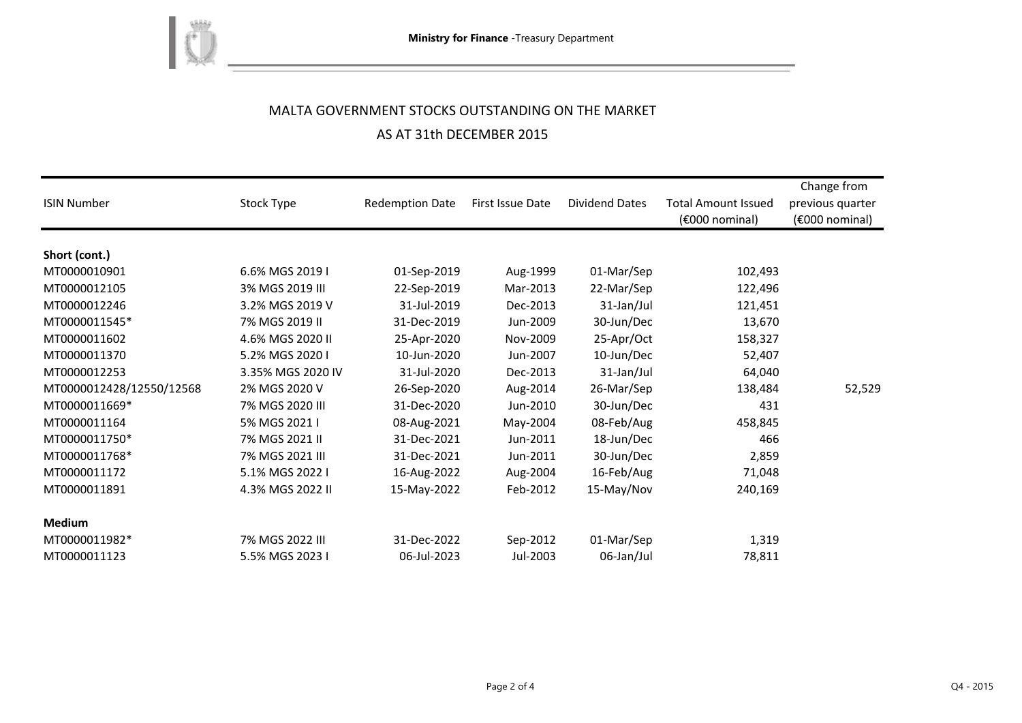

# MALTA GOVERNMENT STOCKS OUTSTANDING ON THE MARKET AS AT 31th DECEMBER 2015

<u> 1980 - Johann Barn, mars et al. 1980 - Anna ann an t-Anna ann an t-Anna ann an t-Anna ann an t-Anna ann an t-</u>

| <b>ISIN Number</b>       | Stock Type        | <b>Redemption Date</b> | First Issue Date | Dividend Dates | <b>Total Amount Issued</b><br>$(6000)$ nominal) | Change from<br>previous quarter<br>$(6000)$ nominal) |
|--------------------------|-------------------|------------------------|------------------|----------------|-------------------------------------------------|------------------------------------------------------|
| Short (cont.)            |                   |                        |                  |                |                                                 |                                                      |
| MT0000010901             | 6.6% MGS 2019 I   | 01-Sep-2019            | Aug-1999         | 01-Mar/Sep     | 102,493                                         |                                                      |
| MT0000012105             | 3% MGS 2019 III   | 22-Sep-2019            | Mar-2013         | 22-Mar/Sep     | 122,496                                         |                                                      |
| MT0000012246             | 3.2% MGS 2019 V   | 31-Jul-2019            | Dec-2013         | 31-Jan/Jul     | 121,451                                         |                                                      |
| MT0000011545*            | 7% MGS 2019 II    | 31-Dec-2019            | Jun-2009         | 30-Jun/Dec     | 13,670                                          |                                                      |
| MT0000011602             | 4.6% MGS 2020 II  | 25-Apr-2020            | Nov-2009         | 25-Apr/Oct     | 158,327                                         |                                                      |
| MT0000011370             | 5.2% MGS 2020 I   | 10-Jun-2020            | Jun-2007         | 10-Jun/Dec     | 52,407                                          |                                                      |
| MT0000012253             | 3.35% MGS 2020 IV | 31-Jul-2020            | Dec-2013         | 31-Jan/Jul     | 64,040                                          |                                                      |
| MT0000012428/12550/12568 | 2% MGS 2020 V     | 26-Sep-2020            | Aug-2014         | 26-Mar/Sep     | 138,484                                         | 52,529                                               |
| MT0000011669*            | 7% MGS 2020 III   | 31-Dec-2020            | Jun-2010         | 30-Jun/Dec     | 431                                             |                                                      |
| MT0000011164             | 5% MGS 2021 I     | 08-Aug-2021            | May-2004         | 08-Feb/Aug     | 458,845                                         |                                                      |
| MT0000011750*            | 7% MGS 2021 II    | 31-Dec-2021            | Jun-2011         | 18-Jun/Dec     | 466                                             |                                                      |
| MT0000011768*            | 7% MGS 2021 III   | 31-Dec-2021            | Jun-2011         | 30-Jun/Dec     | 2,859                                           |                                                      |
| MT0000011172             | 5.1% MGS 2022 I   | 16-Aug-2022            | Aug-2004         | 16-Feb/Aug     | 71,048                                          |                                                      |
| MT0000011891             | 4.3% MGS 2022 II  | 15-May-2022            | Feb-2012         | 15-May/Nov     | 240,169                                         |                                                      |
| <b>Medium</b>            |                   |                        |                  |                |                                                 |                                                      |
| MT0000011982*            | 7% MGS 2022 III   | 31-Dec-2022            | Sep-2012         | 01-Mar/Sep     | 1,319                                           |                                                      |
| MT0000011123             | 5.5% MGS 2023 I   | 06-Jul-2023            | Jul-2003         | 06-Jan/Jul     | 78,811                                          |                                                      |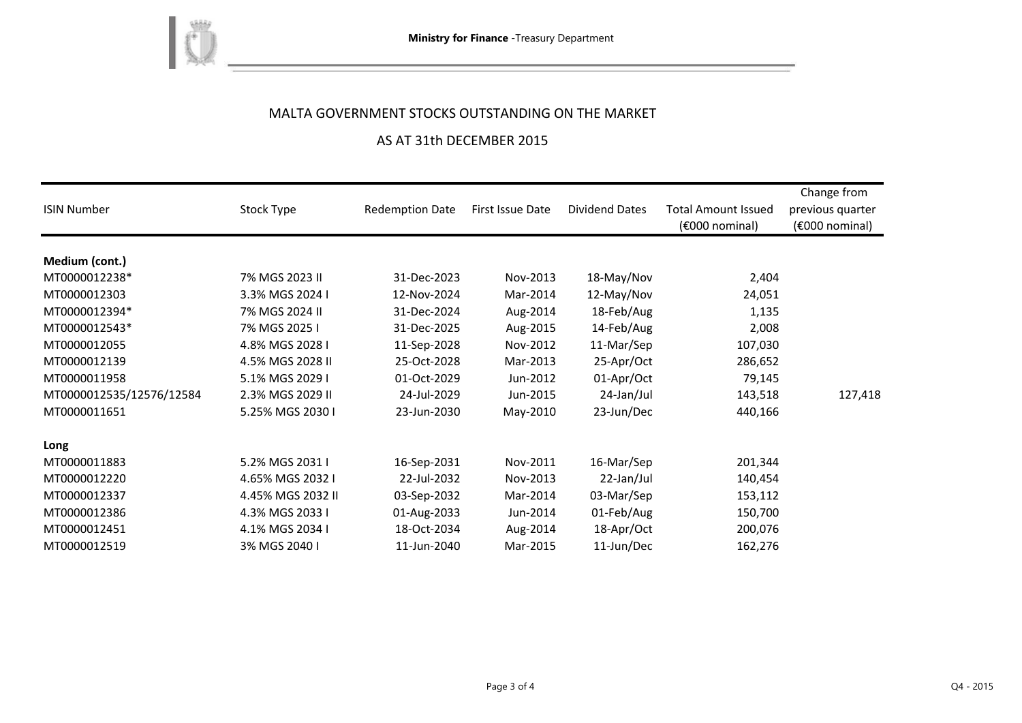

## MALTA GOVERNMENT STOCKS OUTSTANDING ON THE MARKET

### AS AT 31th DECEMBER 2015

| <b>ISIN Number</b>       | Stock Type        | <b>Redemption Date</b> | First Issue Date | <b>Dividend Dates</b> | <b>Total Amount Issued</b><br>$(6000)$ nominal) | Change from<br>previous quarter<br>$(6000)$ nominal) |
|--------------------------|-------------------|------------------------|------------------|-----------------------|-------------------------------------------------|------------------------------------------------------|
|                          |                   |                        |                  |                       |                                                 |                                                      |
| Medium (cont.)           |                   |                        |                  |                       |                                                 |                                                      |
| MT0000012238*            | 7% MGS 2023 II    | 31-Dec-2023            | Nov-2013         | 18-May/Nov            | 2,404                                           |                                                      |
| MT0000012303             | 3.3% MGS 2024 I   | 12-Nov-2024            | Mar-2014         | 12-May/Nov            | 24,051                                          |                                                      |
| MT0000012394*            | 7% MGS 2024 II    | 31-Dec-2024            | Aug-2014         | 18-Feb/Aug            | 1,135                                           |                                                      |
| MT0000012543*            | 7% MGS 2025 I     | 31-Dec-2025            | Aug-2015         | 14-Feb/Aug            | 2,008                                           |                                                      |
| MT0000012055             | 4.8% MGS 2028 I   | 11-Sep-2028            | Nov-2012         | 11-Mar/Sep            | 107,030                                         |                                                      |
| MT0000012139             | 4.5% MGS 2028 II  | 25-Oct-2028            | Mar-2013         | 25-Apr/Oct            | 286,652                                         |                                                      |
| MT0000011958             | 5.1% MGS 2029 I   | 01-Oct-2029            | Jun-2012         | 01-Apr/Oct            | 79,145                                          |                                                      |
| MT0000012535/12576/12584 | 2.3% MGS 2029 II  | 24-Jul-2029            | Jun-2015         | 24-Jan/Jul            | 143,518                                         | 127,418                                              |
| MT0000011651             | 5.25% MGS 2030 I  | 23-Jun-2030            | May-2010         | 23-Jun/Dec            | 440,166                                         |                                                      |
| Long                     |                   |                        |                  |                       |                                                 |                                                      |
| MT0000011883             | 5.2% MGS 2031 I   | 16-Sep-2031            | Nov-2011         | 16-Mar/Sep            | 201,344                                         |                                                      |
| MT0000012220             | 4.65% MGS 2032 I  | 22-Jul-2032            | Nov-2013         | 22-Jan/Jul            | 140,454                                         |                                                      |
| MT0000012337             | 4.45% MGS 2032 II | 03-Sep-2032            | Mar-2014         | 03-Mar/Sep            | 153,112                                         |                                                      |
| MT0000012386             | 4.3% MGS 2033 I   | 01-Aug-2033            | Jun-2014         | 01-Feb/Aug            | 150,700                                         |                                                      |
| MT0000012451             | 4.1% MGS 2034 I   | 18-Oct-2034            | Aug-2014         | 18-Apr/Oct            | 200,076                                         |                                                      |
| MT0000012519             | 3% MGS 2040 I     | 11-Jun-2040            | Mar-2015         | 11-Jun/Dec            | 162,276                                         |                                                      |